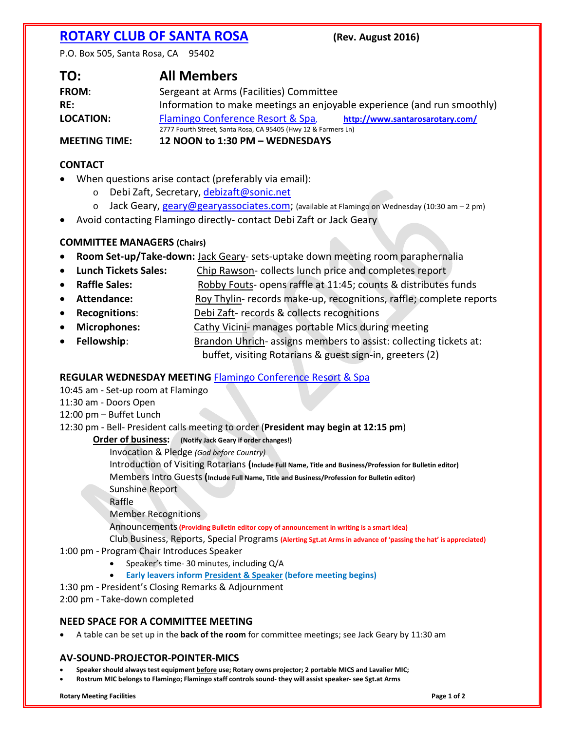# **[ROTARY CLUB OF SANTA ROSA](http://www.santarosarotary.com/) (Rev. August 2016)**

P.O. Box 505, Santa Rosa, CA 95402

| TO:                  | <b>All Members</b>                                                      |
|----------------------|-------------------------------------------------------------------------|
| <b>FROM:</b>         | Sergeant at Arms (Facilities) Committee                                 |
| RE:                  | Information to make meetings an enjoyable experience (and run smoothly) |
| LOCATION:            | Flamingo Conference Resort & Spa,<br>http://www.santarosarotary.com/    |
|                      | 2777 Fourth Street, Santa Rosa, CA 95405 (Hwy 12 & Farmers Ln)          |
| <b>MEETING TIME:</b> | 12 NOON to 1:30 PM - WEDNESDAYS                                         |

**CONTACT**

- When questions arise contact (preferably via email):
	- o Debi Zaft, Secretary, [debizaft@sonic.net](mailto:debizaft@sonic.net)
	- o Jack Geary, [geary@gearyassociates.com;](mailto:geary@gearyassociates.com) (available at Flamingo on Wednesday (10:30 am 2 pm)
- Avoid contacting Flamingo directly- contact Debi Zaft or Jack Geary

### **COMMITTEE MANAGERS (Chairs)**

- **Room Set-up/Take-down:** Jack Geary- sets-uptake down meeting room paraphernalia
- **Lunch Tickets Sales:** Chip Rawson- collects lunch price and completes report
- **Raffle Sales:** Robby Fouts- opens raffle at 11:45; counts & distributes funds
- **Attendance:** Roy Thylin- records make-up, recognitions, raffle; complete reports
- **Recognitions**: Debi Zaft- records & collects recognitions
- **Microphones:** Cathy Vicini- manages portable Mics during meeting
- **Fellowship**: Brandon Uhrich- assigns members to assist: collecting tickets at: buffet, visiting Rotarians & guest sign-in, greeters (2)

## **REGULAR WEDNESDAY MEETING** [Flamingo Conference Resort & Spa](http://www.flamingoresort.com/)

### 10:45 am - Set-up room at Flamingo

- 11:30 am Doors Open
- 12:00 pm Buffet Lunch

### 12:30 pm - Bell- President calls meeting to order (**President may begin at 12:15 pm**)

**Order of business:** (Notify Jack Geary if order changes!)

Invocation & Pledge *(God before Country)*

Introduction of Visiting Rotarians **(Include Full Name, Title and Business/Profession for Bulletin editor)**

Members Intro Guests **(Include Full Name, Title and Business/Profession for Bulletin editor)**

Sunshine Report

Raffle

Member Recognitions

Announcements**(Providing Bulletin editor copy of announcement in writing is a smart idea)**

Club Business, Reports, Special Programs **(Alerting Sgt.at Arms in advance of 'passing the hat' is appreciated)**

- 1:00 pm Program Chair Introduces Speaker
	- Speaker's time- 30 minutes, including Q/A
	- **Early leavers inform President & Speaker (before meeting begins)**
- 1:30 pm President's Closing Remarks & Adjournment

2:00 pm - Take-down completed

### **NEED SPACE FOR A COMMITTEE MEETING**

• A table can be set up in the **back of the room** for committee meetings; see Jack Geary by 11:30 am

### **AV-SOUND-PROJECTOR-POINTER-MICS**

- **Speaker should always test equipment before use; Rotary owns projector; 2 portable MICS and Lavalier MIC;**
- **Rostrum MIC belongs to Flamingo; Flamingo staff controls sound- they will assist speaker- see Sgt.at Arms**